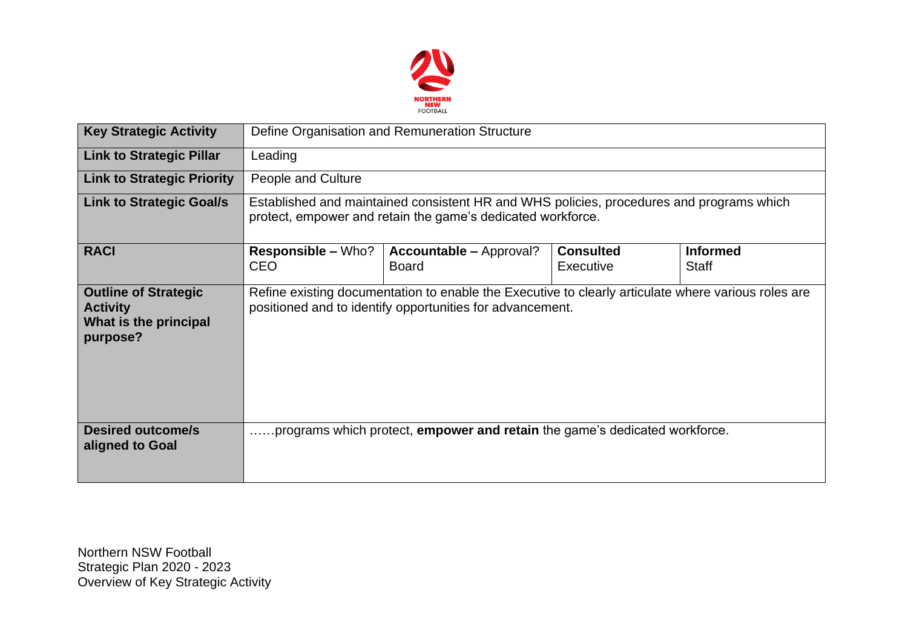

| <b>Key Strategic Activity</b>                                                       | Define Organisation and Remuneration Structure                                                                                                                   |                                                                                   |                               |                                 |  |  |  |
|-------------------------------------------------------------------------------------|------------------------------------------------------------------------------------------------------------------------------------------------------------------|-----------------------------------------------------------------------------------|-------------------------------|---------------------------------|--|--|--|
| <b>Link to Strategic Pillar</b>                                                     | Leading                                                                                                                                                          |                                                                                   |                               |                                 |  |  |  |
| <b>Link to Strategic Priority</b>                                                   | People and Culture                                                                                                                                               |                                                                                   |                               |                                 |  |  |  |
| <b>Link to Strategic Goal/s</b>                                                     | Established and maintained consistent HR and WHS policies, procedures and programs which<br>protect, empower and retain the game's dedicated workforce.          |                                                                                   |                               |                                 |  |  |  |
| <b>RACI</b>                                                                         | <b>Responsible – Who?</b><br><b>CEO</b>                                                                                                                          | <b>Accountable – Approval?</b><br><b>Board</b>                                    | <b>Consulted</b><br>Executive | <b>Informed</b><br><b>Staff</b> |  |  |  |
| <b>Outline of Strategic</b><br><b>Activity</b><br>What is the principal<br>purpose? | Refine existing documentation to enable the Executive to clearly articulate where various roles are<br>positioned and to identify opportunities for advancement. |                                                                                   |                               |                                 |  |  |  |
| <b>Desired outcome/s</b><br>aligned to Goal                                         |                                                                                                                                                                  | programs which protect, <b>empower and retain</b> the game's dedicated workforce. |                               |                                 |  |  |  |

Northern NSW Football Strategic Plan 2020 - 2023 Overview of Key Strategic Activity